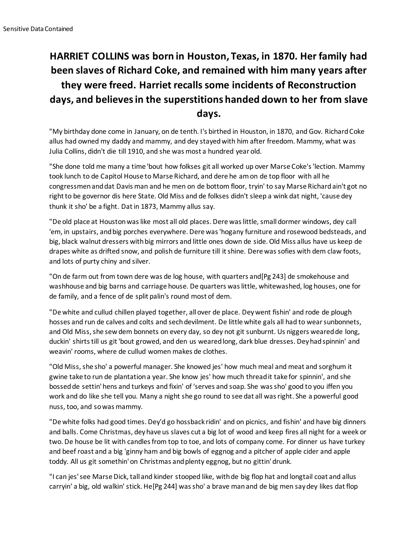## **HARRIET COLLINS was born in Houston, Texas, in 1870. Her family had been slaves of Richard Coke, and remained with him many years after they were freed. Harriet recalls some incidents of Reconstruction days, and believes in the superstitions handed down to her from slave days.**

"My birthday done come in January, on de tenth. I's birthed in Houston, in 1870, and Gov. Richard Coke allus had owned my daddy and mammy, and dey stayed with him after freedom. Mammy, what was Julia Collins, didn't die till 1910, and she was most a hundred year old.

"She done told me many a time 'bout how folkses git all worked up over Marse Coke's 'lection. Mammy took lunch to de Capitol House to Marse Richard, and dere he am on de top floor with all he congressmen and dat Davis man and he men on de bottom floor, tryin' to say Marse Richard ain't got no right to be governor dis here State. Old Miss and de folkses didn't sleep a wink dat night, 'cause dey thunk it sho' be a fight. Dat in 1873, Mammy allus say.

"De old place at Houston was like most all old places. Dere was little, small dormer windows, dey call 'em, in upstairs, and big porches everywhere. Dere was 'hogany furniture and rosewood bedsteads, and big, black walnut dressers with big mirrors and little ones down de side. Old Miss allus have us keep de drapes white as drifted snow, and polish de furniture till it shine. Dere was sofies with dem claw foots, and lots of purty chiny and silver.

"On de farm out from town dere was de log house, with quarters and[Pg 243] de smokehouse and washhouse and big barns and carriage house. De quarters was little, whitewashed, log houses, one for de family, and a fence of de split palin's round most of dem.

"De white and cullud chillen played together, all over de place. Dey went fishin' and rode de plough hosses and run de calves and colts and sech devilment. De little white gals all had to wear sunbonnets, and Old Miss, she sew dem bonnets on every day, so dey not git sunburnt. Us niggers weared de long, duckin' shirts till us git 'bout growed, and den us weared long, dark blue dresses. Dey had spinnin' and weavin' rooms, where de cullud women makes de clothes.

"Old Miss, she sho' a powerful manager. She knowed jes' how much meal and meat and sorghum it gwine take to run de plantation a year. She know jes' how much thread it take for spinnin', and she bossed de settin' hens and turkeys and fixin' of 'serves and soap. She was sho' good to you iffen you work and do like she tell you. Many a night she go round to see dat all was right. She a powerful good nuss, too, and so was mammy.

"De white folks had good times. Dey'd go hossback ridin' and on picnics, and fishin' and have big dinners and balls. Come Christmas, dey have us slaves cut a big lot of wood and keep fires all night for a week or two. De house be lit with candles from top to toe, and lots of company come. For dinner us have turkey and beef roast and a big 'ginny ham and big bowls of eggnog and a pitcher of apple cider and apple toddy. All us git somethin' on Christmas and plenty eggnog, but no gittin' drunk.

"I can jes' see Marse Dick, tall and kinder stooped like, with de big flop hat and longtail coat and allus carryin' a big, old walkin' stick. He[Pg 244] was sho' a brave man and de big men say dey likes dat flop